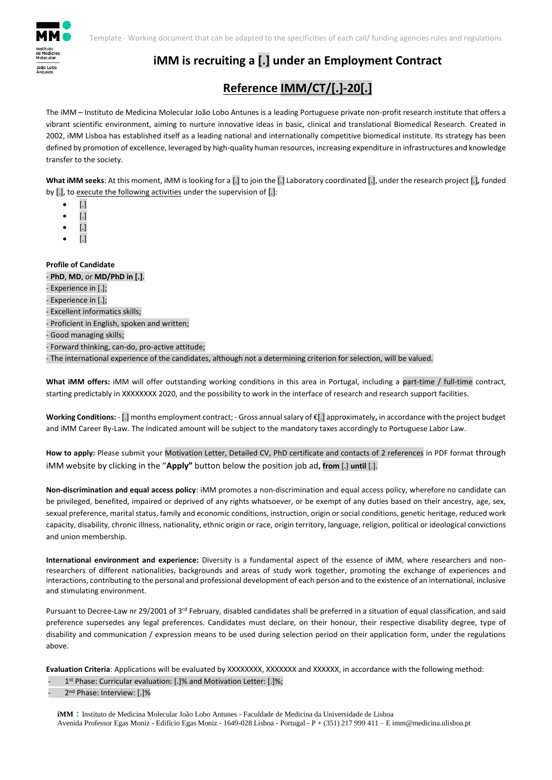

## **iMM is recruiting a [.] under an Employment Contract**

## **Reference IMM/CT/[.]-20[.]**

The iMM – Instituto de Medicina Molecular João Lobo Antunes is a leading Portuguese private non-profit research institute that offers a vibrant scientific environment, aiming to nurture innovative ideas in basic, clinical and translational Biomedical Research. Created in 2002, iMM Lisboa has established itself as a leading national and internationally competitive biomedical institute. Its strategy has been defined by promotion of excellence, leveraged by high-quality human resources, increasing expenditure in infrastructures and knowledge transfer to the society.

**What iMM seeks**: At this moment, iMM is looking for a [.] to join the [.] Laboratory coordinated [.], under the research project [.]*,* funded by [.], to execute the following activities under the supervision of [.]:

- [.]
- [.]
- [.]
- $[$ .]

**Profile of Candidate**

## - **PhD**, **MD**, or **MD/PhD in [.]**.

Experience in [.];

Experience in [.];

- Excellent informatics skills;

Proficient in English, spoken and written;

Good managing skills;

- Forward thinking, can-do, pro-active attitude;

- The international experience of the candidates, although not a determining criterion for selection, will be valued.

**What iMM offers:** iMM will offer outstanding working conditions in this area in Portugal, including a part-time / full-time contract, starting predictably in XXXXXXXX 2020, and the possibility to work in the interface of research and research support facilities.

**Working Conditions:** - [.] months employment contract; - Gross annualsalary of €[.] approximately**,** in accordance with the project budget and iMM Career By-Law. The indicated amount will be subject to the mandatory taxes accordingly to Portuguese Labor Law.

**How to apply:** Please submit your Motivation Letter, Detailed CV, PhD certificate and contacts of 2 references in PDF format through iMM website by clicking in the "**Apply"** button below the position job ad**, from** [.] **until** [.].

**Non-discrimination and equal access policy**: iMM promotes a non-discrimination and equal access policy, wherefore no candidate can be privileged, benefited, impaired or deprived of any rights whatsoever, or be exempt of any duties based on their ancestry, age, sex, sexual preference, marital status, family and economic conditions, instruction, origin or social conditions, genetic heritage, reduced work capacity, disability, chronic illness, nationality, ethnic origin or race, origin territory, language, religion, political or ideological convictions and union membership.

**International environment and experience:** Diversity is a fundamental aspect of the essence of iMM, where researchers and nonresearchers of different nationalities, backgrounds and areas of study work together, promoting the exchange of experiences and interactions, contributing to the personal and professional development of each person and to the existence of an international, inclusive and stimulating environment.

Pursuant to Decree-Law nr 29/2001 of 3rd February, disabled candidates shall be preferred in a situation of equal classification, and said preference supersedes any legal preferences. Candidates must declare, on their honour, their respective disability degree, type of disability and communication / expression means to be used during selection period on their application form, under the regulations above.

**Evaluation Criteria**: Applications will be evaluated by XXXXXXXX, XXXXXXX and XXXXXX, in accordance with the following method:

- 1<sup>st</sup> Phase: Curricular evaluation: [.]% and Motivation Letter: [.]%;

- 2<sup>nd</sup> Phase: Interview: [.]%

**iMM :** Instituto de Medicina Molecular João Lobo Antunes - Faculdade de Medicina da Universidade de Lisboa Avenida Professor Egas Moniz - Edifício Egas Moniz - 1649-028 Lisboa - Portugal - P + (351) 217 999 411 – E imm@medicina.ulisboa.pt